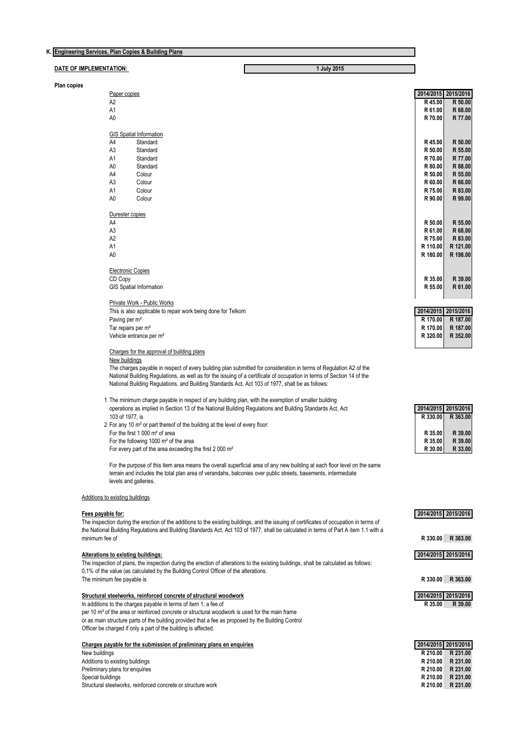|                                        | K. Engineering Services, Plan Copies & Building Plans                                                                                                   |                     |                    |
|----------------------------------------|---------------------------------------------------------------------------------------------------------------------------------------------------------|---------------------|--------------------|
| DATE OF IMPLEMENTATION:<br>1 July 2015 |                                                                                                                                                         |                     |                    |
| Plan copies                            |                                                                                                                                                         |                     |                    |
|                                        | Paper copies                                                                                                                                            | 2014/2015 2015/2016 |                    |
|                                        | A2                                                                                                                                                      | R 45.00             | R 50.00<br>R 68.00 |
|                                        | A1<br>A0                                                                                                                                                | R 61.00<br>R 70.00  | R 77.00            |
|                                        |                                                                                                                                                         |                     |                    |
|                                        | <b>GIS Spatial Information</b>                                                                                                                          |                     |                    |
|                                        | A4<br>Standard                                                                                                                                          | R 45.00             | R 50.00            |
|                                        | A3<br>Standard                                                                                                                                          | R 50.00             | R 55.00            |
|                                        | Α1<br>Standard                                                                                                                                          | R 70.00             | R 77.00            |
|                                        | A0<br>Standard<br>A4<br>Colour                                                                                                                          | R 80.00<br>R 50.00  | R 88.00<br>R 55.00 |
|                                        | A3<br>Colour                                                                                                                                            | R 60.00             | R 66.00            |
|                                        | A1<br>Colour                                                                                                                                            | R 75.00             | R 83.00            |
|                                        | A0<br>Colour                                                                                                                                            | R 90.00             | R 99.00            |
|                                        |                                                                                                                                                         |                     |                    |
|                                        | Durester copies<br>A4                                                                                                                                   | R 50.00             | R 55.00            |
|                                        | A3                                                                                                                                                      | R 61.00             | R 68.00            |
|                                        | A2                                                                                                                                                      | R 75.00             | R 83.00            |
|                                        | A1                                                                                                                                                      | R 110.00            | R 121.00           |
|                                        | A0                                                                                                                                                      | R 180.00            | R 198.00           |
|                                        | <b>Electronic Copies</b>                                                                                                                                |                     |                    |
|                                        | CD Copy                                                                                                                                                 | R 35.00             | R 39.00            |
|                                        | <b>GIS Spatial Information</b>                                                                                                                          | R 55.00             | R 61.00            |
|                                        |                                                                                                                                                         |                     |                    |
|                                        | <b>Private Work - Public Works</b>                                                                                                                      |                     |                    |
|                                        | This is also applicable to repair work being done for Telkom                                                                                            | 2014/2015 2015/2016 |                    |
|                                        | Paving per m <sup>2</sup>                                                                                                                               | R 170.00            | R 187.00           |
|                                        | Tar repairs per m <sup>2</sup>                                                                                                                          | R 170.00            | R 187.00           |
|                                        | Vehicle entrance per m <sup>2</sup>                                                                                                                     | R 320.00            | R 352.00           |
|                                        | Charges for the approval of building plans                                                                                                              |                     |                    |
|                                        | New buildings                                                                                                                                           |                     |                    |
|                                        | The charges payable in respect of every building plan submitted for consideration in terms of Regulation A2 of the                                      |                     |                    |
|                                        | National Building Regulations, as well as for the issuing of a certificate of occupation in terms of Section 14 of the                                  |                     |                    |
|                                        | National Building Regulations, and Building Standards Act, Act 103 of 1977, shall be as follows:                                                        |                     |                    |
|                                        | 1 The minimum charge payable in respect of any building plan, with the exemption of smaller building                                                    |                     |                    |
|                                        | operations as implied in Section 13 of the National Building Regulations and Building Standards Act, Act                                                | 2014/2015 2015/2016 |                    |
|                                        | 103 of 1977, is                                                                                                                                         | R 330.00            | R 363.00           |
|                                        | 2 For any 10 m <sup>2</sup> or part thereof of the building at the level of every floor:                                                                |                     |                    |
|                                        | For the first 1 000 $m2$ of area                                                                                                                        | R 35.00             | R 39.00            |
|                                        | For the following 1000 m <sup>2</sup> of the area<br>For every part of the area exceeding the first 2 000 $m2$                                          | R 35.00<br>R 30.00  | R 39.00<br>R 33.00 |
|                                        |                                                                                                                                                         |                     |                    |
|                                        | For the purpose of this item area means the overall superficial area of any new building at each floor level on the same                                |                     |                    |
|                                        | terrain and includes the total plan area of verandahs, balconies over public streets, basements, intermediate                                           |                     |                    |
|                                        | levels and galleries.                                                                                                                                   |                     |                    |
|                                        | <b>Additions to existing buildings</b>                                                                                                                  |                     |                    |
|                                        |                                                                                                                                                         |                     |                    |
|                                        | Fees payable for:                                                                                                                                       | 2014/2015 2015/2016 |                    |
|                                        | The inspection during the erection of the additions to the existing buildings, and the issuing of certificates of occupation in terms of                |                     |                    |
|                                        | the National Building Regulations and Building Standards Act, Act 103 of 1977, shall be calculated in terms of Part A item 1.1 with a<br>minimum fee of |                     | R 330.00 R 363.00  |
|                                        |                                                                                                                                                         |                     |                    |
|                                        | Alterations to existing buildings:                                                                                                                      | 2014/2015 2015/2016 |                    |
|                                        | The inspection of plans, the inspection during the erection of alterations to the existing buildings, shall be calculated as follows:                   |                     |                    |
|                                        | 0,1% of the value (as calculated by the Building Control Officer of the alterations.                                                                    |                     |                    |
|                                        | The minimum fee payable is                                                                                                                              |                     | R 330.00 R 363.00  |
|                                        |                                                                                                                                                         | 2014/2015 2015/2016 |                    |
|                                        | <b>Structural steelworks, reinforced concrete of structural woodwork</b><br>In additions to the charges payable in terms of item 1, a fee of            | R 35.00             | R 39.00            |
|                                        | per 10 $\mathrm{m}^2$ of the area or reinforced concrete or structural woodwork is used for the main frame                                              |                     |                    |
|                                        | or as main structure parts of the building provided that a fee as proposed by the Building Control                                                      |                     |                    |
|                                        | Officer be charged if only a part of the building is affected.                                                                                          |                     |                    |
|                                        |                                                                                                                                                         |                     |                    |
|                                        | Charges payable for the submission of preliminary plans en enquiries                                                                                    | 2014/2015 2015/2016 |                    |
|                                        | New buildings                                                                                                                                           | R 210.00            | R 231.00           |

Additions to existing buildings **R 210.00 R 231.00** Preliminary plans for enquiries **R 210.00 R 231.00** Special buildings **R 210.00 R 231.00** References of a structure work<br>
Structural steelworks, reinforced concrete or structure work<br>
Structural steelworks, reinforced concrete or structure work<br>
R 210.00<br>
R 231.00<br>
R 231.00<br>
R 231.00